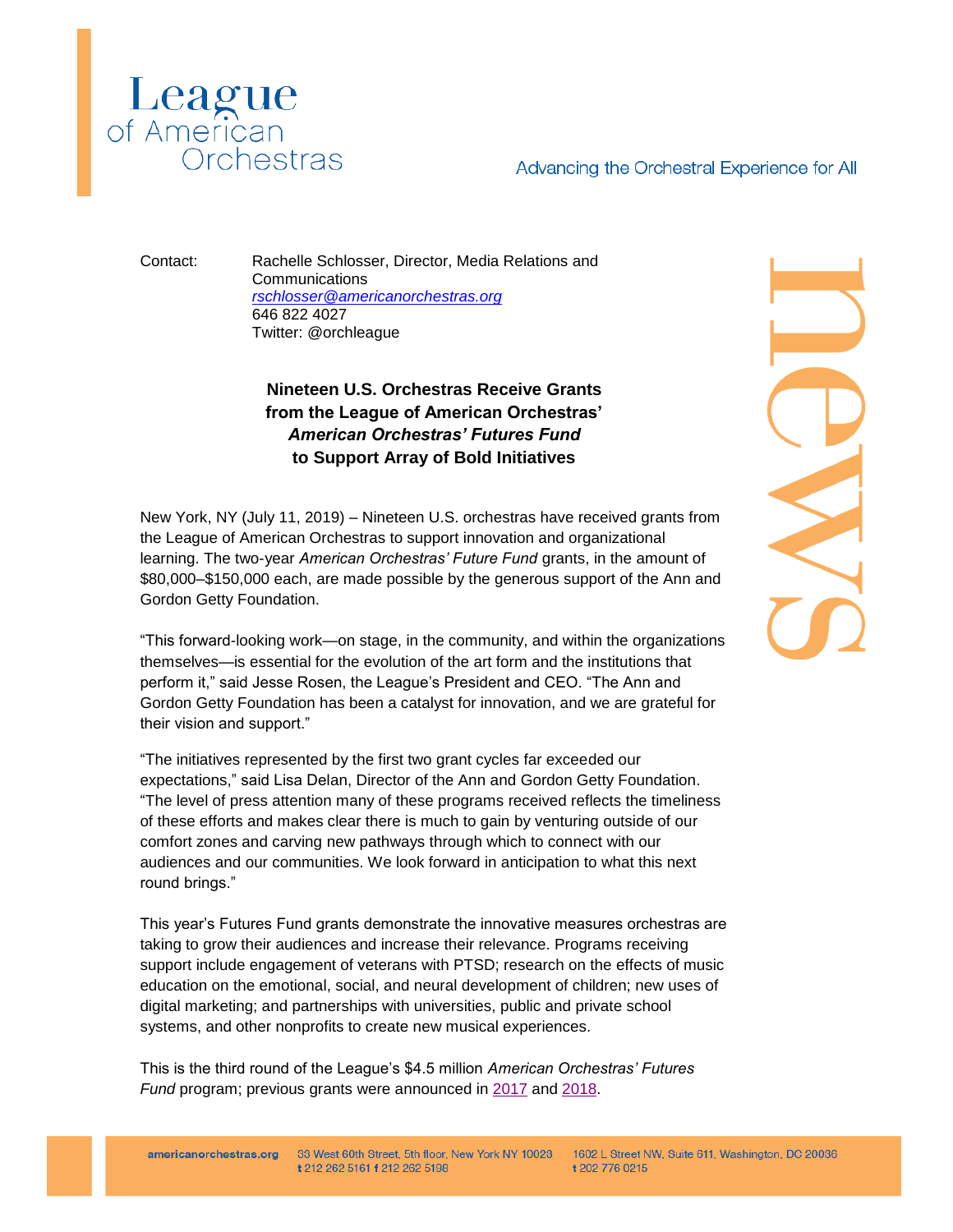

Advancing the Orchestral Experience for All

Contact: Rachelle Schlosser, Director, Media Relations and Communications *[rschlosser@americanorchestras.org](mailto:rschlosser@americanorchestras.org)* 646 822 4027 Twitter: @orchleague

## **Nineteen U.S. Orchestras Receive Grants from the League of American Orchestras'**  *American Orchestras' Futures Fund*  **to Support Array of Bold Initiatives**

New York, NY (July 11, 2019) – Nineteen U.S. orchestras have received grants from the League of American Orchestras to support innovation and organizational learning. The two-year *American Orchestras' Future Fund* grants, in the amount of \$80,000–\$150,000 each, are made possible by the generous support of the Ann and Gordon Getty Foundation.

"This forward-looking work—on stage, in the community, and within the organizations themselves—is essential for the evolution of the art form and the institutions that perform it," said Jesse Rosen, the League's President and CEO. "The Ann and Gordon Getty Foundation has been a catalyst for innovation, and we are grateful for their vision and support."

"The initiatives represented by the first two grant cycles far exceeded our expectations," said Lisa Delan, Director of the Ann and Gordon Getty Foundation. "The level of press attention many of these programs received reflects the timeliness of these efforts and makes clear there is much to gain by venturing outside of our comfort zones and carving new pathways through which to connect with our audiences and our communities. We look forward in anticipation to what this next round brings."

This year's Futures Fund grants demonstrate the innovative measures orchestras are taking to grow their audiences and increase their relevance. Programs receiving support include engagement of veterans with PTSD; research on the effects of music education on the emotional, social, and neural development of children; new uses of digital marketing; and partnerships with universities, public and private school systems, and other nonprofits to create new musical experiences.

This is the third round of the League's \$4.5 million *American Orchestras' Futures Fund* program; previous grants were announced in [2017](https://americanorchestras.org/images/stories/Futures_Fund_Announcement.pdf) and [2018.](https://americanorchestras.org/images/stories/press_releases/Futures_Fund_Announcement_grps5-8.pdf)

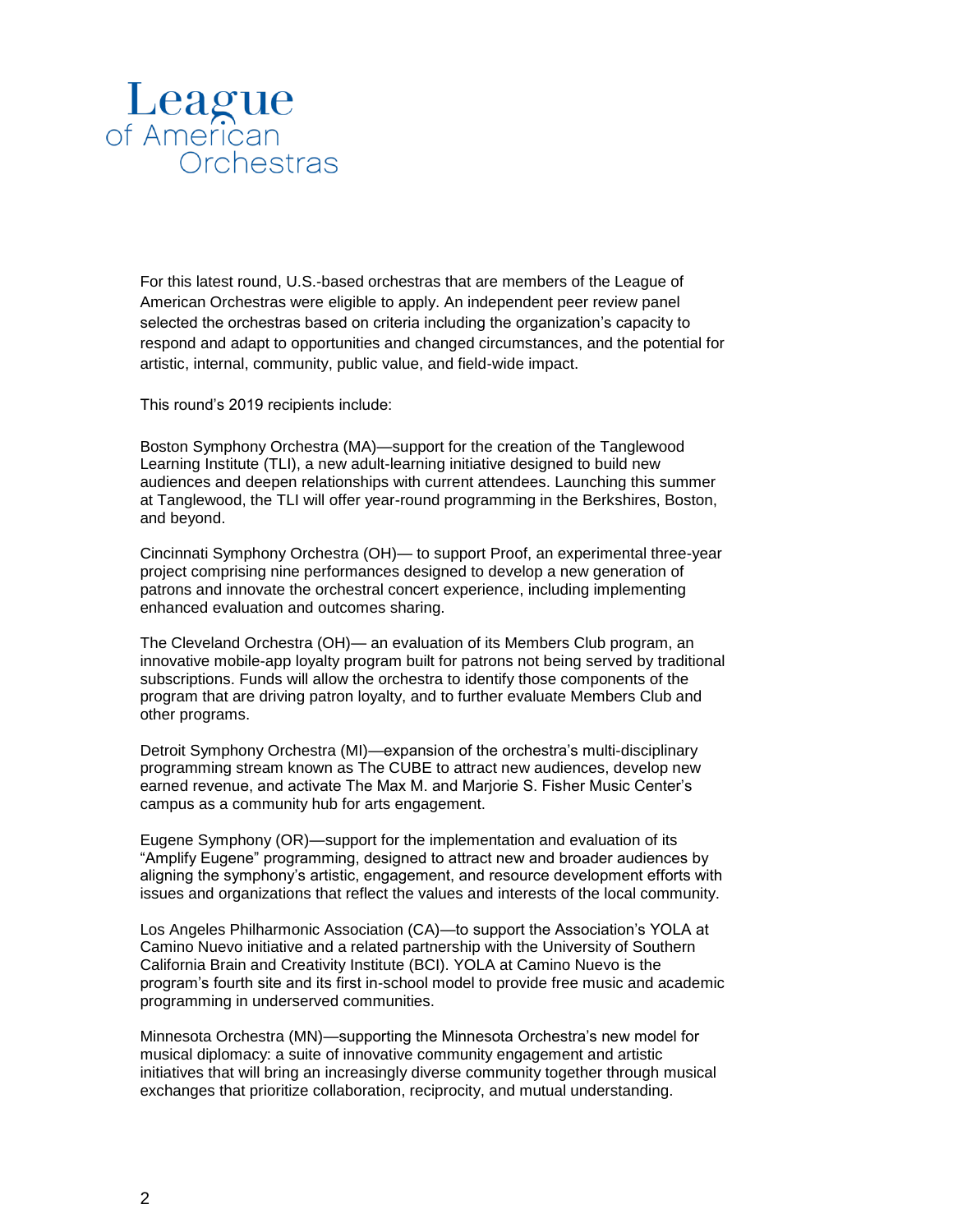

For this latest round, U.S.-based orchestras that are members of the League of American Orchestras were eligible to apply. An independent peer review panel selected the orchestras based on criteria including the organization's capacity to respond and adapt to opportunities and changed circumstances, and the potential for artistic, internal, community, public value, and field-wide impact.

This round's 2019 recipients include:

Boston Symphony Orchestra (MA)—support for the creation of the Tanglewood Learning Institute (TLI), a new adult-learning initiative designed to build new audiences and deepen relationships with current attendees. Launching this summer at Tanglewood, the TLI will offer year-round programming in the Berkshires, Boston, and beyond.

Cincinnati Symphony Orchestra (OH)— to support Proof, an experimental three-year project comprising nine performances designed to develop a new generation of patrons and innovate the orchestral concert experience, including implementing enhanced evaluation and outcomes sharing.

The Cleveland Orchestra (OH)— an evaluation of its Members Club program, an innovative mobile-app loyalty program built for patrons not being served by traditional subscriptions. Funds will allow the orchestra to identify those components of the program that are driving patron loyalty, and to further evaluate Members Club and other programs.

Detroit Symphony Orchestra (MI)—expansion of the orchestra's multi-disciplinary programming stream known as The CUBE to attract new audiences, develop new earned revenue, and activate The Max M. and Marjorie S. Fisher Music Center's campus as a community hub for arts engagement.

Eugene Symphony (OR)—support for the implementation and evaluation of its "Amplify Eugene" programming, designed to attract new and broader audiences by aligning the symphony's artistic, engagement, and resource development efforts with issues and organizations that reflect the values and interests of the local community.

Los Angeles Philharmonic Association (CA)—to support the Association's YOLA at Camino Nuevo initiative and a related partnership with the University of Southern California Brain and Creativity Institute (BCI). YOLA at Camino Nuevo is the program's fourth site and its first in-school model to provide free music and academic programming in underserved communities.

Minnesota Orchestra (MN)—supporting the Minnesota Orchestra's new model for musical diplomacy: a suite of innovative community engagement and artistic initiatives that will bring an increasingly diverse community together through musical exchanges that prioritize collaboration, reciprocity, and mutual understanding.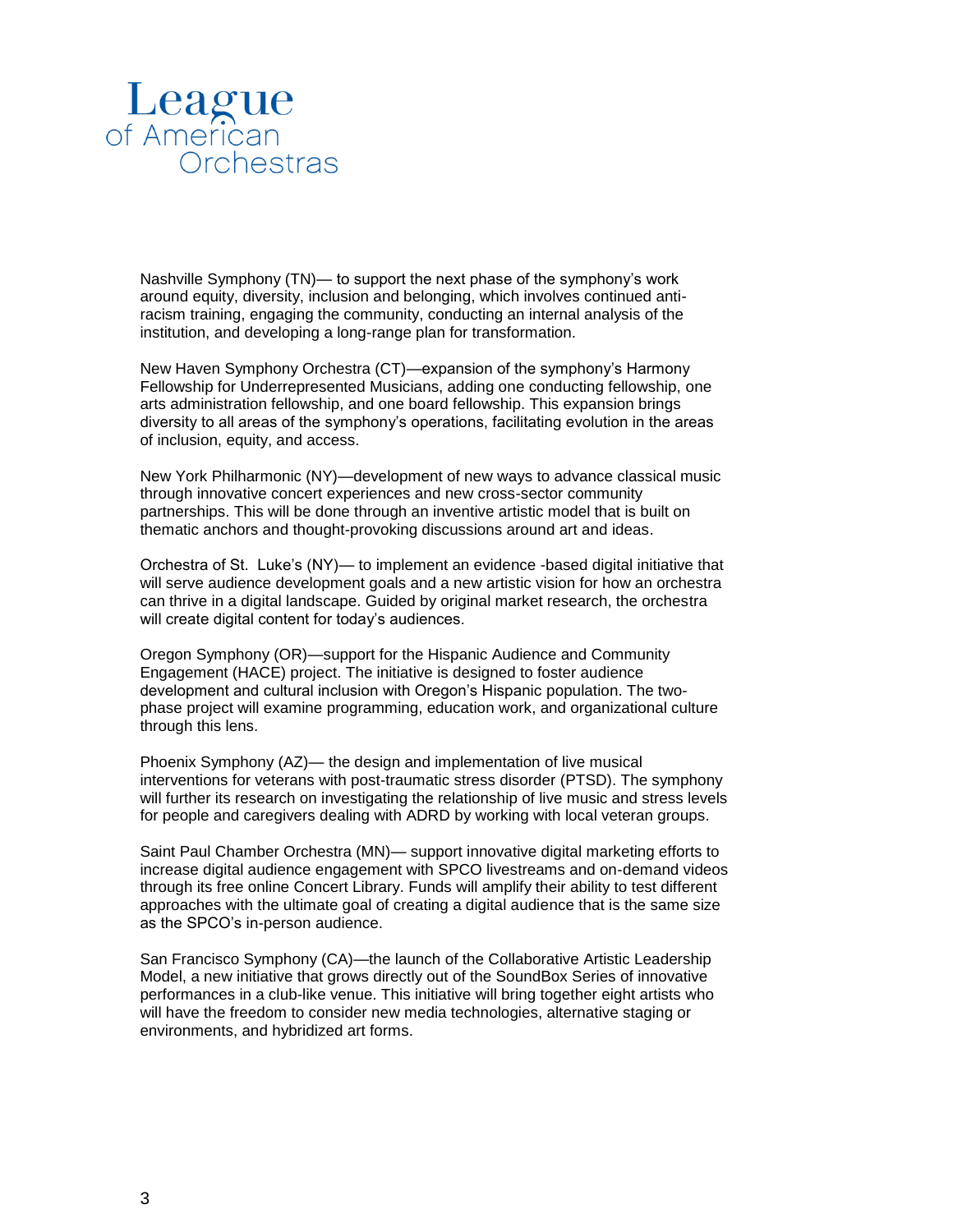

Nashville Symphony (TN)— to support the next phase of the symphony's work around equity, diversity, inclusion and belonging, which involves continued antiracism training, engaging the community, conducting an internal analysis of the institution, and developing a long-range plan for transformation.

New Haven Symphony Orchestra (CT)—expansion of the symphony's Harmony Fellowship for Underrepresented Musicians, adding one conducting fellowship, one arts administration fellowship, and one board fellowship. This expansion brings diversity to all areas of the symphony's operations, facilitating evolution in the areas of inclusion, equity, and access.

New York Philharmonic (NY)—development of new ways to advance classical music through innovative concert experiences and new cross-sector community partnerships. This will be done through an inventive artistic model that is built on thematic anchors and thought-provoking discussions around art and ideas.

Orchestra of St. Luke's (NY)— to implement an evidence -based digital initiative that will serve audience development goals and a new artistic vision for how an orchestra can thrive in a digital landscape. Guided by original market research, the orchestra will create digital content for today's audiences.

Oregon Symphony (OR)—support for the Hispanic Audience and Community Engagement (HACE) project. The initiative is designed to foster audience development and cultural inclusion with Oregon's Hispanic population. The twophase project will examine programming, education work, and organizational culture through this lens.

Phoenix Symphony (AZ)— the design and implementation of live musical interventions for veterans with post-traumatic stress disorder (PTSD). The symphony will further its research on investigating the relationship of live music and stress levels for people and caregivers dealing with ADRD by working with local veteran groups.

Saint Paul Chamber Orchestra (MN)— support innovative digital marketing efforts to increase digital audience engagement with SPCO livestreams and on-demand videos through its free online Concert Library. Funds will amplify their ability to test different approaches with the ultimate goal of creating a digital audience that is the same size as the SPCO's in-person audience.

San Francisco Symphony (CA)—the launch of the Collaborative Artistic Leadership Model, a new initiative that grows directly out of the SoundBox Series of innovative performances in a club-like venue. This initiative will bring together eight artists who will have the freedom to consider new media technologies, alternative staging or environments, and hybridized art forms.